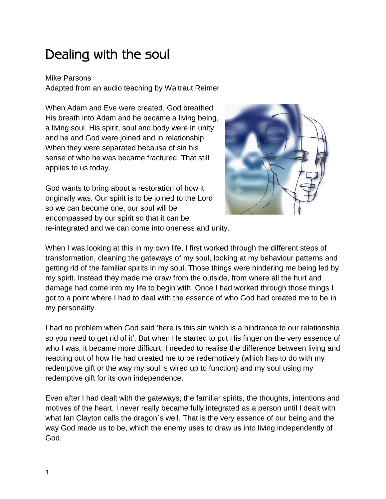## Dealing with the soul

## Mike Parsons

Adapted from an audio teaching by Waltraut Reimer

When Adam and Eve were created, God breathed His breath into Adam and he became a living being, a living soul. His spirit, soul and body were in unity and he and God were joined and in relationship. When they were separated because of sin his sense of who he was became fractured. That still applies to us today.

God wants to bring about a restoration of how it originally was. Our spirit is to be joined to the Lord so we can become one, our soul will be encompassed by our spirit so that it can be re-integrated and we can come into oneness and unity.



When I was looking at this in my own life, I first worked through the different steps of transformation, cleaning the gateways of my soul, looking at my behaviour patterns and getting rid of the familiar spirits in my soul. Those things were hindering me being led by my spirit. Instead they made me draw from the outside, from where all the hurt and damage had come into my life to begin with. Once I had worked through those things I got to a point where I had to deal with the essence of who God had created me to be in my personality.

I had no problem when God said 'here is this sin which is a hindrance to our relationship so you need to get rid of it'. But when He started to put His finger on the very essence of who I was, it became more difficult. I needed to realise the difference between living and reacting out of how He had created me to be redemptively (which has to do with my redemptive gift or the way my soul is wired up to function) and my soul using my redemptive gift for its own independence.

Even after I had dealt with the gateways, the familiar spirits, the thoughts, intentions and motives of the heart, I never really became fully integrated as a person until I dealt with what Ian Clayton calls the dragon`s well. That is the very essence of our being and the way God made us to be, which the enemy uses to draw us into living independently of God.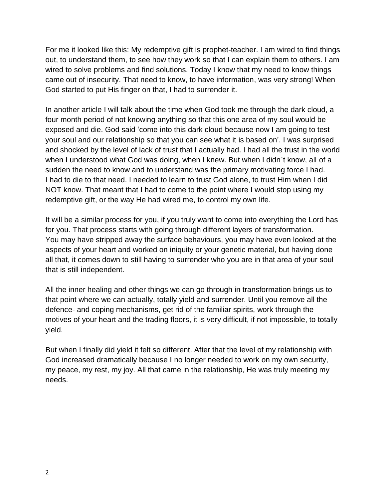For me it looked like this: My redemptive gift is prophet-teacher. I am wired to find things out, to understand them, to see how they work so that I can explain them to others. I am wired to solve problems and find solutions. Today I know that my need to know things came out of insecurity. That need to know, to have information, was very strong! When God started to put His finger on that, I had to surrender it.

In another article I will talk about the time when God took me through the dark cloud, a four month period of not knowing anything so that this one area of my soul would be exposed and die. God said 'come into this dark cloud because now I am going to test your soul and our relationship so that you can see what it is based on'. I was surprised and shocked by the level of lack of trust that I actually had. I had all the trust in the world when I understood what God was doing, when I knew. But when I didn't know, all of a sudden the need to know and to understand was the primary motivating force I had. I had to die to that need. I needed to learn to trust God alone, to trust Him when I did NOT know. That meant that I had to come to the point where I would stop using my redemptive gift, or the way He had wired me, to control my own life.

It will be a similar process for you, if you truly want to come into everything the Lord has for you. That process starts with going through different layers of transformation. You may have stripped away the surface behaviours, you may have even looked at the aspects of your heart and worked on iniquity or your genetic material, but having done all that, it comes down to still having to surrender who you are in that area of your soul that is still independent.

All the inner healing and other things we can go through in transformation brings us to that point where we can actually, totally yield and surrender. Until you remove all the defence- and coping mechanisms, get rid of the familiar spirits, work through the motives of your heart and the trading floors, it is very difficult, if not impossible, to totally yield.

But when I finally did yield it felt so different. After that the level of my relationship with God increased dramatically because I no longer needed to work on my own security, my peace, my rest, my joy. All that came in the relationship, He was truly meeting my needs.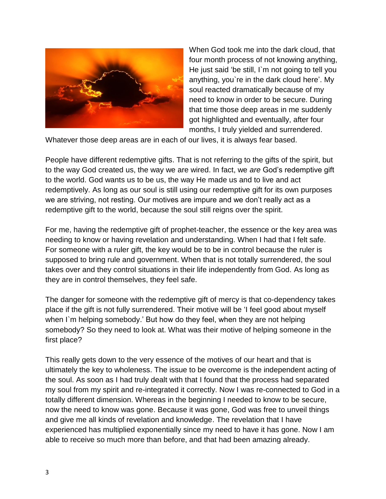

When God took me into the dark cloud, that four month process of not knowing anything, He just said 'be still, I`m not going to tell you anything, you`re in the dark cloud here'. My soul reacted dramatically because of my need to know in order to be secure. During that time those deep areas in me suddenly got highlighted and eventually, after four months, I truly yielded and surrendered.

Whatever those deep areas are in each of our lives, it is always fear based.

People have different redemptive gifts. That is not referring to the gifts of the spirit, but to the way God created us, the way we are wired. In fact, we *are* God's redemptive gift to the world. God wants us to be us, the way He made us and to live and act redemptively. As long as our soul is still using our redemptive gift for its own purposes we are striving, not resting. Our motives are impure and we don't really act as a redemptive gift to the world, because the soul still reigns over the spirit.

For me, having the redemptive gift of prophet-teacher, the essence or the key area was needing to know or having revelation and understanding. When I had that I felt safe. For someone with a ruler gift, the key would be to be in control because the ruler is supposed to bring rule and government. When that is not totally surrendered, the soul takes over and they control situations in their life independently from God. As long as they are in control themselves, they feel safe.

The danger for someone with the redemptive gift of mercy is that co-dependency takes place if the gift is not fully surrendered. Their motive will be 'I feel good about myself when I'm helping somebody.' But how do they feel, when they are not helping somebody? So they need to look at. What was their motive of helping someone in the first place?

This really gets down to the very essence of the motives of our heart and that is ultimately the key to wholeness. The issue to be overcome is the independent acting of the soul. As soon as I had truly dealt with that I found that the process had separated my soul from my spirit and re-integrated it correctly. Now I was re-connected to God in a totally different dimension. Whereas in the beginning I needed to know to be secure, now the need to know was gone. Because it was gone, God was free to unveil things and give me all kinds of revelation and knowledge. The revelation that I have experienced has multiplied exponentially since my need to have it has gone. Now I am able to receive so much more than before, and that had been amazing already.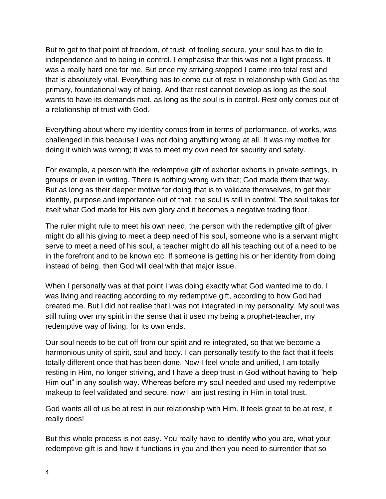But to get to that point of freedom, of trust, of feeling secure, your soul has to die to independence and to being in control. I emphasise that this was not a light process. It was a really hard one for me. But once my striving stopped I came into total rest and that is absolutely vital. Everything has to come out of rest in relationship with God as the primary, foundational way of being. And that rest cannot develop as long as the soul wants to have its demands met, as long as the soul is in control. Rest only comes out of a relationship of trust with God.

Everything about where my identity comes from in terms of performance, of works, was challenged in this because I was not doing anything wrong at all. It was my motive for doing it which was wrong; it was to meet my own need for security and safety.

For example, a person with the redemptive gift of exhorter exhorts in private settings, in groups or even in writing. There is nothing wrong with that; God made them that way. But as long as their deeper motive for doing that is to validate themselves, to get their identity, purpose and importance out of that, the soul is still in control. The soul takes for itself what God made for His own glory and it becomes a negative trading floor.

The ruler might rule to meet his own need, the person with the redemptive gift of giver might do all his giving to meet a deep need of his soul, someone who is a servant might serve to meet a need of his soul, a teacher might do all his teaching out of a need to be in the forefront and to be known etc. If someone is getting his or her identity from doing instead of being, then God will deal with that major issue.

When I personally was at that point I was doing exactly what God wanted me to do. I was living and reacting according to my redemptive gift, according to how God had created me. But I did not realise that I was not integrated in my personality. My soul was still ruling over my spirit in the sense that it used my being a prophet-teacher, my redemptive way of living, for its own ends.

Our soul needs to be cut off from our spirit and re-integrated, so that we become a harmonious unity of spirit, soul and body. I can personally testify to the fact that it feels totally different once that has been done. Now I feel whole and unified, I am totally resting in Him, no longer striving, and I have a deep trust in God without having to "help Him out" in any soulish way. Whereas before my soul needed and used my redemptive makeup to feel validated and secure, now I am just resting in Him in total trust.

God wants all of us be at rest in our relationship with Him. It feels great to be at rest, it really does!

But this whole process is not easy. You really have to identify who you are, what your redemptive gift is and how it functions in you and then you need to surrender that so